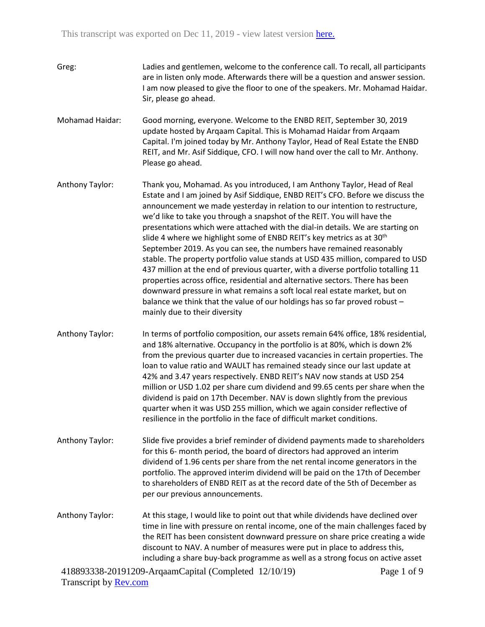| Greg: | Ladies and gentlemen, welcome to the conference call. To recall, all participants |
|-------|-----------------------------------------------------------------------------------|
|       | are in listen only mode. Afterwards there will be a question and answer session.  |
|       | I am now pleased to give the floor to one of the speakers. Mr. Mohamad Haidar.    |
|       | Sir, please go ahead.                                                             |

Mohamad Haidar: Good morning, everyone. Welcome to the ENBD REIT, September 30, 2019 update hosted by Arqaam Capital. This is Mohamad Haidar from Arqaam Capital. I'm joined today by Mr. Anthony Taylor, Head of Real Estate the ENBD REIT, and Mr. Asif Siddique, CFO. I will now hand over the call to Mr. Anthony. Please go ahead.

Anthony Taylor: Thank you, Mohamad. As you introduced, I am Anthony Taylor, Head of Real Estate and I am joined by Asif Siddique, ENBD REIT's CFO. Before we discuss the announcement we made yesterday in relation to our intention to restructure, we'd like to take you through a snapshot of the REIT. You will have the presentations which were attached with the dial-in details. We are starting on slide 4 where we highlight some of ENBD REIT's key metrics as at 30<sup>th</sup> September 2019. As you can see, the numbers have remained reasonably stable. The property portfolio value stands at USD 435 million, compared to USD 437 million at the end of previous quarter, with a diverse portfolio totalling 11 properties across office, residential and alternative sectors. There has been downward pressure in what remains a soft local real estate market, but on balance we think that the value of our holdings has so far proved robust – mainly due to their diversity

Anthony Taylor: In terms of portfolio composition, our assets remain 64% office, 18% residential, and 18% alternative. Occupancy in the portfolio is at 80%, which is down 2% from the previous quarter due to increased vacancies in certain properties. The loan to value ratio and WAULT has remained steady since our last update at 42% and 3.47 years respectively. ENBD REIT's NAV now stands at USD 254 million or USD 1.02 per share cum dividend and 99.65 cents per share when the dividend is paid on 17th December. NAV is down slightly from the previous quarter when it was USD 255 million, which we again consider reflective of resilience in the portfolio in the face of difficult market conditions.

Anthony Taylor: Slide five provides a brief reminder of dividend payments made to shareholders for this 6- month period, the board of directors had approved an interim dividend of 1.96 cents per share from the net rental income generators in the portfolio. The approved interim dividend will be paid on the 17th of December to shareholders of ENBD REIT as at the record date of the 5th of December as per our previous announcements.

Anthony Taylor: At this stage, I would like to point out that while dividends have declined over time in line with pressure on rental income, one of the main challenges faced by the REIT has been consistent downward pressure on share price creating a wide discount to NAV. A number of measures were put in place to address this, including a share buy-back programme as well as a strong focus on active asset

418893338-20191209-ArqaamCapital (Completed 12/10/19) Transcript by [Rev.com](https://www.rev.com/)

Page 1 of 9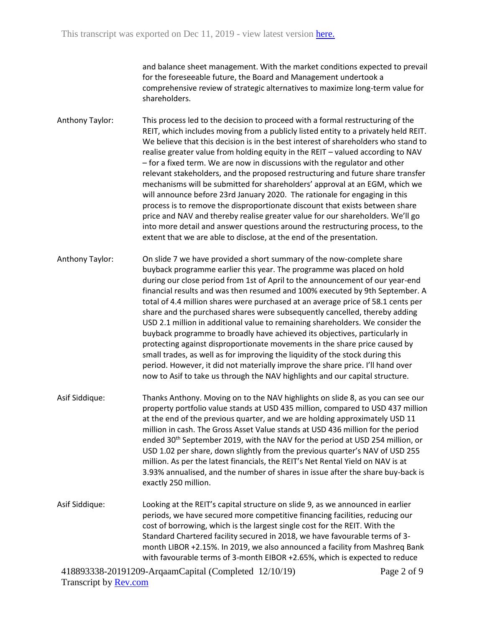and balance sheet management. With the market conditions expected to prevail for the foreseeable future, the Board and Management undertook a comprehensive review of strategic alternatives to maximize long-term value for shareholders.

Anthony Taylor: This process led to the decision to proceed with a formal restructuring of the REIT, which includes moving from a publicly listed entity to a privately held REIT. We believe that this decision is in the best interest of shareholders who stand to realise greater value from holding equity in the REIT – valued according to NAV – for a fixed term. We are now in discussions with the regulator and other relevant stakeholders, and the proposed restructuring and future share transfer mechanisms will be submitted for shareholders' approval at an EGM, which we will announce before 23rd January 2020. The rationale for engaging in this process is to remove the disproportionate discount that exists between share price and NAV and thereby realise greater value for our shareholders. We'll go into more detail and answer questions around the restructuring process, to the extent that we are able to disclose, at the end of the presentation.

Anthony Taylor: On slide 7 we have provided a short summary of the now-complete share buyback programme earlier this year. The programme was placed on hold during our close period from 1st of April to the announcement of our year-end financial results and was then resumed and 100% executed by 9th September. A total of 4.4 million shares were purchased at an average price of 58.1 cents per share and the purchased shares were subsequently cancelled, thereby adding USD 2.1 million in additional value to remaining shareholders. We consider the buyback programme to broadly have achieved its objectives, particularly in protecting against disproportionate movements in the share price caused by small trades, as well as for improving the liquidity of the stock during this period. However, it did not materially improve the share price. I'll hand over now to Asif to take us through the NAV highlights and our capital structure.

Asif Siddique: Thanks Anthony. Moving on to the NAV highlights on slide 8, as you can see our property portfolio value stands at USD 435 million, compared to USD 437 million at the end of the previous quarter, and we are holding approximately USD 11 million in cash. The Gross Asset Value stands at USD 436 million for the period ended 30<sup>th</sup> September 2019, with the NAV for the period at USD 254 million, or USD 1.02 per share, down slightly from the previous quarter's NAV of USD 255 million. As per the latest financials, the REIT's Net Rental Yield on NAV is at 3.93% annualised, and the number of shares in issue after the share buy-back is exactly 250 million.

Asif Siddique: Looking at the REIT's capital structure on slide 9, as we announced in earlier periods, we have secured more competitive financing facilities, reducing our cost of borrowing, which is the largest single cost for the REIT. With the Standard Chartered facility secured in 2018, we have favourable terms of 3 month LIBOR +2.15%. In 2019, we also announced a facility from Mashreq Bank with favourable terms of 3-month EIBOR +2.65%, which is expected to reduce

418893338-20191209-ArqaamCapital (Completed 12/10/19) Transcript by **Rev.com**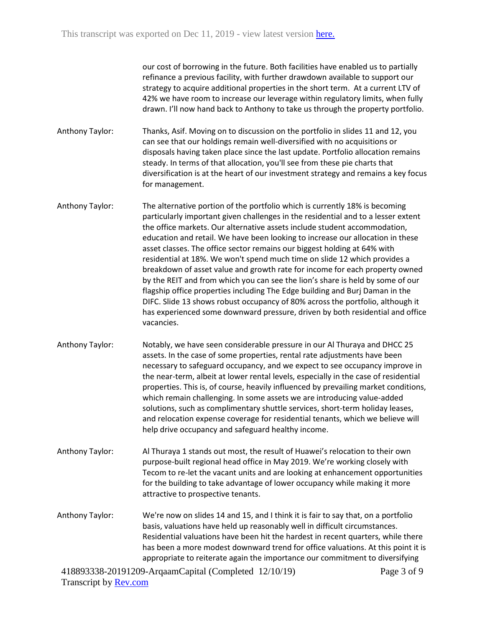our cost of borrowing in the future. Both facilities have enabled us to partially refinance a previous facility, with further drawdown available to support our strategy to acquire additional properties in the short term. At a current LTV of 42% we have room to increase our leverage within regulatory limits, when fully drawn. I'll now hand back to Anthony to take us through the property portfolio.

Anthony Taylor: Thanks, Asif. Moving on to discussion on the portfolio in slides 11 and 12, you can see that our holdings remain well-diversified with no acquisitions or disposals having taken place since the last update. Portfolio allocation remains steady. In terms of that allocation, you'll see from these pie charts that diversification is at the heart of our investment strategy and remains a key focus for management.

Anthony Taylor: The alternative portion of the portfolio which is currently 18% is becoming particularly important given challenges in the residential and to a lesser extent the office markets. Our alternative assets include student accommodation, education and retail. We have been looking to increase our allocation in these asset classes. The office sector remains our biggest holding at 64% with residential at 18%. We won't spend much time on slide 12 which provides a breakdown of asset value and growth rate for income for each property owned by the REIT and from which you can see the lion's share is held by some of our flagship office properties including The Edge building and Burj Daman in the DIFC. Slide 13 shows robust occupancy of 80% across the portfolio, although it has experienced some downward pressure, driven by both residential and office vacancies.

- Anthony Taylor: Notably, we have seen considerable pressure in our Al Thuraya and DHCC 25 assets. In the case of some properties, rental rate adjustments have been necessary to safeguard occupancy, and we expect to see occupancy improve in the near-term, albeit at lower rental levels, especially in the case of residential properties. This is, of course, heavily influenced by prevailing market conditions, which remain challenging. In some assets we are introducing value-added solutions, such as complimentary shuttle services, short-term holiday leases, and relocation expense coverage for residential tenants, which we believe will help drive occupancy and safeguard healthy income.
- Anthony Taylor: Al Thuraya 1 stands out most, the result of Huawei's relocation to their own purpose-built regional head office in May 2019. We're working closely with Tecom to re-let the vacant units and are looking at enhancement opportunities for the building to take advantage of lower occupancy while making it more attractive to prospective tenants.

Anthony Taylor: We're now on slides 14 and 15, and I think it is fair to say that, on a portfolio basis, valuations have held up reasonably well in difficult circumstances. Residential valuations have been hit the hardest in recent quarters, while there has been a more modest downward trend for office valuations. At this point it is appropriate to reiterate again the importance our commitment to diversifying

418893338-20191209-ArqaamCapital (Completed 12/10/19) Transcript by **Rev.com**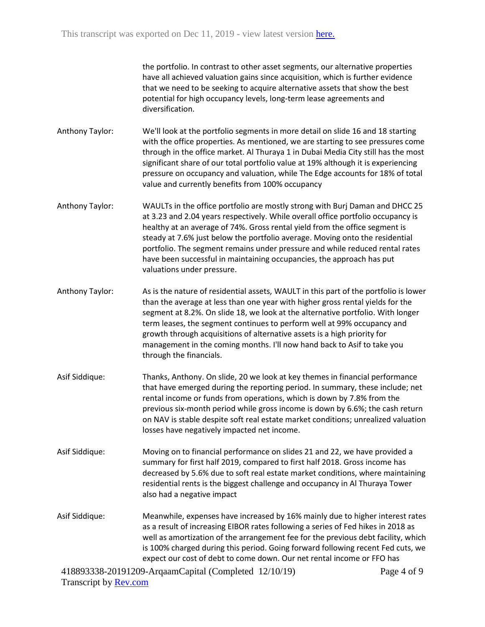the portfolio. In contrast to other asset segments, our alternative properties have all achieved valuation gains since acquisition, which is further evidence that we need to be seeking to acquire alternative assets that show the best potential for high occupancy levels, long-term lease agreements and diversification.

- Anthony Taylor: We'll look at the portfolio segments in more detail on slide 16 and 18 starting with the office properties. As mentioned, we are starting to see pressures come through in the office market. Al Thuraya 1 in Dubai Media City still has the most significant share of our total portfolio value at 19% although it is experiencing pressure on occupancy and valuation, while The Edge accounts for 18% of total value and currently benefits from 100% occupancy
- Anthony Taylor: WAULTs in the office portfolio are mostly strong with Burj Daman and DHCC 25 at 3.23 and 2.04 years respectively. While overall office portfolio occupancy is healthy at an average of 74%. Gross rental yield from the office segment is steady at 7.6% just below the portfolio average. Moving onto the residential portfolio. The segment remains under pressure and while reduced rental rates have been successful in maintaining occupancies, the approach has put valuations under pressure.
- Anthony Taylor: As is the nature of residential assets, WAULT in this part of the portfolio is lower than the average at less than one year with higher gross rental yields for the segment at 8.2%. On slide 18, we look at the alternative portfolio. With longer term leases, the segment continues to perform well at 99% occupancy and growth through acquisitions of alternative assets is a high priority for management in the coming months. I'll now hand back to Asif to take you through the financials.
- Asif Siddique: Thanks, Anthony. On slide, 20 we look at key themes in financial performance that have emerged during the reporting period. In summary, these include; net rental income or funds from operations, which is down by 7.8% from the previous six-month period while gross income is down by 6.6%; the cash return on NAV is stable despite soft real estate market conditions; unrealized valuation losses have negatively impacted net income.
- Asif Siddique: Moving on to financial performance on slides 21 and 22, we have provided a summary for first half 2019, compared to first half 2018. Gross income has decreased by 5.6% due to soft real estate market conditions, where maintaining residential rents is the biggest challenge and occupancy in Al Thuraya Tower also had a negative impact
- Asif Siddique: Meanwhile, expenses have increased by 16% mainly due to higher interest rates as a result of increasing EIBOR rates following a series of Fed hikes in 2018 as well as amortization of the arrangement fee for the previous debt facility, which is 100% charged during this period. Going forward following recent Fed cuts, we expect our cost of debt to come down. Our net rental income or FFO has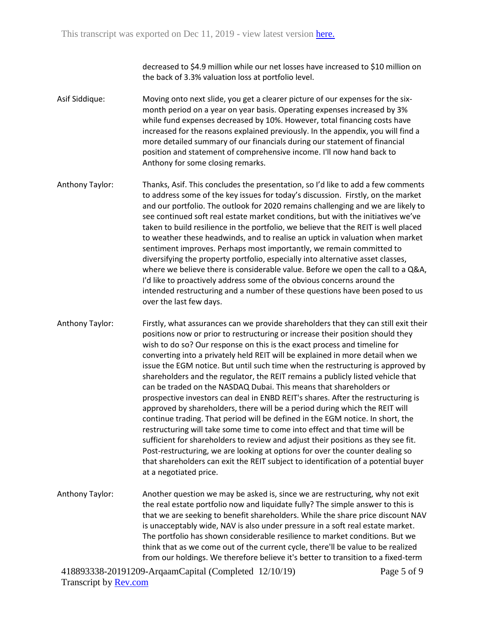decreased to \$4.9 million while our net losses have increased to \$10 million on the back of 3.3% valuation loss at portfolio level.

Asif Siddique: Moving onto next slide, you get a clearer picture of our expenses for the sixmonth period on a year on year basis. Operating expenses increased by 3% while fund expenses decreased by 10%. However, total financing costs have increased for the reasons explained previously. In the appendix, you will find a more detailed summary of our financials during our statement of financial position and statement of comprehensive income. I'll now hand back to Anthony for some closing remarks.

Anthony Taylor: Thanks, Asif. This concludes the presentation, so I'd like to add a few comments to address some of the key issues for today's discussion. Firstly, on the market and our portfolio. The outlook for 2020 remains challenging and we are likely to see continued soft real estate market conditions, but with the initiatives we've taken to build resilience in the portfolio, we believe that the REIT is well placed to weather these headwinds, and to realise an uptick in valuation when market sentiment improves. Perhaps most importantly, we remain committed to diversifying the property portfolio, especially into alternative asset classes, where we believe there is considerable value. Before we open the call to a Q&A, I'd like to proactively address some of the obvious concerns around the intended restructuring and a number of these questions have been posed to us over the last few days.

Anthony Taylor: Firstly, what assurances can we provide shareholders that they can still exit their positions now or prior to restructuring or increase their position should they wish to do so? Our response on this is the exact process and timeline for converting into a privately held REIT will be explained in more detail when we issue the EGM notice. But until such time when the restructuring is approved by shareholders and the regulator, the REIT remains a publicly listed vehicle that can be traded on the NASDAQ Dubai. This means that shareholders or prospective investors can deal in ENBD REIT's shares. After the restructuring is approved by shareholders, there will be a period during which the REIT will continue trading. That period will be defined in the EGM notice. In short, the restructuring will take some time to come into effect and that time will be sufficient for shareholders to review and adjust their positions as they see fit. Post-restructuring, we are looking at options for over the counter dealing so that shareholders can exit the REIT subject to identification of a potential buyer at a negotiated price.

Anthony Taylor: Another question we may be asked is, since we are restructuring, why not exit the real estate portfolio now and liquidate fully? The simple answer to this is that we are seeking to benefit shareholders. While the share price discount NAV is unacceptably wide, NAV is also under pressure in a soft real estate market. The portfolio has shown considerable resilience to market conditions. But we think that as we come out of the current cycle, there'll be value to be realized from our holdings. We therefore believe it's better to transition to a fixed-term

418893338-20191209-ArqaamCapital (Completed 12/10/19) Transcript by **Rev.com** 

Page 5 of 9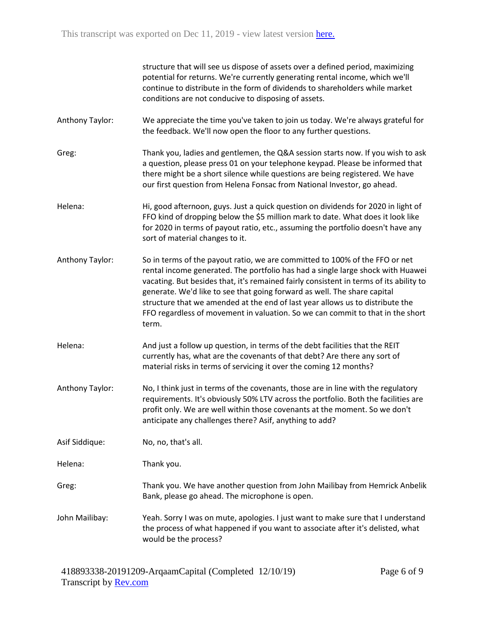|                 | structure that will see us dispose of assets over a defined period, maximizing<br>potential for returns. We're currently generating rental income, which we'll<br>continue to distribute in the form of dividends to shareholders while market<br>conditions are not conducive to disposing of assets.                                                                                                                                                                                                           |
|-----------------|------------------------------------------------------------------------------------------------------------------------------------------------------------------------------------------------------------------------------------------------------------------------------------------------------------------------------------------------------------------------------------------------------------------------------------------------------------------------------------------------------------------|
| Anthony Taylor: | We appreciate the time you've taken to join us today. We're always grateful for<br>the feedback. We'll now open the floor to any further questions.                                                                                                                                                                                                                                                                                                                                                              |
| Greg:           | Thank you, ladies and gentlemen, the Q&A session starts now. If you wish to ask<br>a question, please press 01 on your telephone keypad. Please be informed that<br>there might be a short silence while questions are being registered. We have<br>our first question from Helena Fonsac from National Investor, go ahead.                                                                                                                                                                                      |
| Helena:         | Hi, good afternoon, guys. Just a quick question on dividends for 2020 in light of<br>FFO kind of dropping below the \$5 million mark to date. What does it look like<br>for 2020 in terms of payout ratio, etc., assuming the portfolio doesn't have any<br>sort of material changes to it.                                                                                                                                                                                                                      |
| Anthony Taylor: | So in terms of the payout ratio, we are committed to 100% of the FFO or net<br>rental income generated. The portfolio has had a single large shock with Huawei<br>vacating. But besides that, it's remained fairly consistent in terms of its ability to<br>generate. We'd like to see that going forward as well. The share capital<br>structure that we amended at the end of last year allows us to distribute the<br>FFO regardless of movement in valuation. So we can commit to that in the short<br>term. |
| Helena:         | And just a follow up question, in terms of the debt facilities that the REIT<br>currently has, what are the covenants of that debt? Are there any sort of<br>material risks in terms of servicing it over the coming 12 months?                                                                                                                                                                                                                                                                                  |
| Anthony Taylor: | No, I think just in terms of the covenants, those are in line with the regulatory<br>requirements. It's obviously 50% LTV across the portfolio. Both the facilities are<br>profit only. We are well within those covenants at the moment. So we don't<br>anticipate any challenges there? Asif, anything to add?                                                                                                                                                                                                 |
| Asif Siddique:  | No, no, that's all.                                                                                                                                                                                                                                                                                                                                                                                                                                                                                              |
| Helena:         | Thank you.                                                                                                                                                                                                                                                                                                                                                                                                                                                                                                       |
| Greg:           | Thank you. We have another question from John Mailibay from Hemrick Anbelik<br>Bank, please go ahead. The microphone is open.                                                                                                                                                                                                                                                                                                                                                                                    |
| John Mailibay:  | Yeah. Sorry I was on mute, apologies. I just want to make sure that I understand<br>the process of what happened if you want to associate after it's delisted, what<br>would be the process?                                                                                                                                                                                                                                                                                                                     |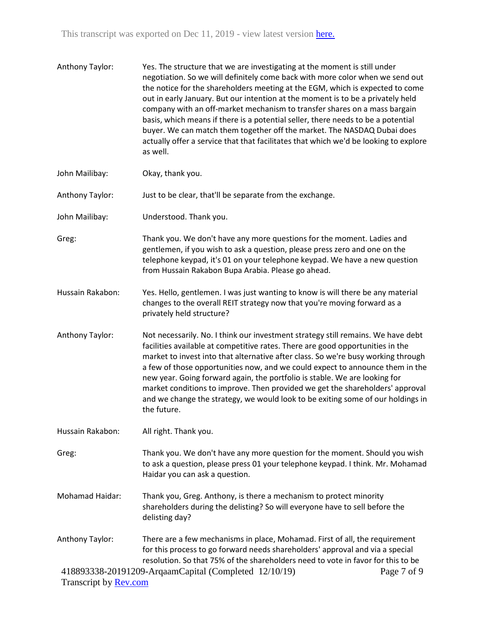| Anthony Taylor:                                 | Yes. The structure that we are investigating at the moment is still under<br>negotiation. So we will definitely come back with more color when we send out<br>the notice for the shareholders meeting at the EGM, which is expected to come<br>out in early January. But our intention at the moment is to be a privately held<br>company with an off-market mechanism to transfer shares on a mass bargain<br>basis, which means if there is a potential seller, there needs to be a potential<br>buyer. We can match them together off the market. The NASDAQ Dubai does<br>actually offer a service that that facilitates that which we'd be looking to explore<br>as well. |
|-------------------------------------------------|--------------------------------------------------------------------------------------------------------------------------------------------------------------------------------------------------------------------------------------------------------------------------------------------------------------------------------------------------------------------------------------------------------------------------------------------------------------------------------------------------------------------------------------------------------------------------------------------------------------------------------------------------------------------------------|
| John Mailibay:                                  | Okay, thank you.                                                                                                                                                                                                                                                                                                                                                                                                                                                                                                                                                                                                                                                               |
| Anthony Taylor:                                 | Just to be clear, that'll be separate from the exchange.                                                                                                                                                                                                                                                                                                                                                                                                                                                                                                                                                                                                                       |
| John Mailibay:                                  | Understood. Thank you.                                                                                                                                                                                                                                                                                                                                                                                                                                                                                                                                                                                                                                                         |
| Greg:                                           | Thank you. We don't have any more questions for the moment. Ladies and<br>gentlemen, if you wish to ask a question, please press zero and one on the<br>telephone keypad, it's 01 on your telephone keypad. We have a new question<br>from Hussain Rakabon Bupa Arabia. Please go ahead.                                                                                                                                                                                                                                                                                                                                                                                       |
| Hussain Rakabon:                                | Yes. Hello, gentlemen. I was just wanting to know is will there be any material<br>changes to the overall REIT strategy now that you're moving forward as a<br>privately held structure?                                                                                                                                                                                                                                                                                                                                                                                                                                                                                       |
| Anthony Taylor:                                 | Not necessarily. No. I think our investment strategy still remains. We have debt<br>facilities available at competitive rates. There are good opportunities in the<br>market to invest into that alternative after class. So we're busy working through<br>a few of those opportunities now, and we could expect to announce them in the<br>new year. Going forward again, the portfolio is stable. We are looking for<br>market conditions to improve. Then provided we get the shareholders' approval<br>and we change the strategy, we would look to be exiting some of our holdings in<br>the future.                                                                      |
| Hussain Rakabon:                                | All right. Thank you.                                                                                                                                                                                                                                                                                                                                                                                                                                                                                                                                                                                                                                                          |
| Greg:                                           | Thank you. We don't have any more question for the moment. Should you wish<br>to ask a question, please press 01 your telephone keypad. I think. Mr. Mohamad<br>Haidar you can ask a question.                                                                                                                                                                                                                                                                                                                                                                                                                                                                                 |
| <b>Mohamad Haidar:</b>                          | Thank you, Greg. Anthony, is there a mechanism to protect minority<br>shareholders during the delisting? So will everyone have to sell before the<br>delisting day?                                                                                                                                                                                                                                                                                                                                                                                                                                                                                                            |
| Anthony Taylor:<br>Transcript by <b>Rev.com</b> | There are a few mechanisms in place, Mohamad. First of all, the requirement<br>for this process to go forward needs shareholders' approval and via a special<br>resolution. So that 75% of the shareholders need to vote in favor for this to be<br>418893338-20191209-ArqaamCapital (Completed 12/10/19)<br>Page 7 of 9                                                                                                                                                                                                                                                                                                                                                       |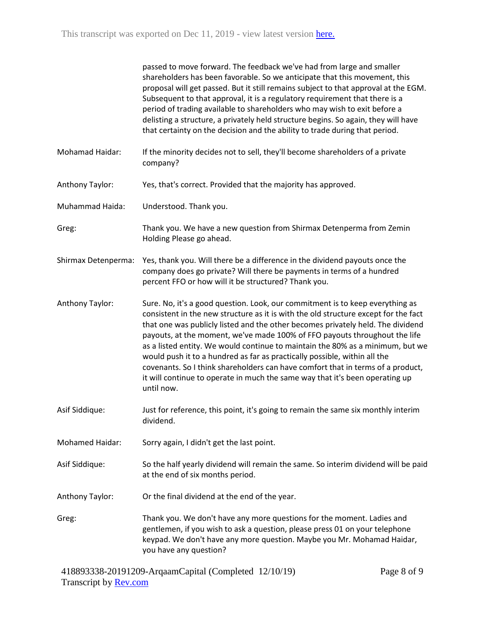|                        | passed to move forward. The feedback we've had from large and smaller<br>shareholders has been favorable. So we anticipate that this movement, this<br>proposal will get passed. But it still remains subject to that approval at the EGM.<br>Subsequent to that approval, it is a regulatory requirement that there is a<br>period of trading available to shareholders who may wish to exit before a<br>delisting a structure, a privately held structure begins. So again, they will have<br>that certainty on the decision and the ability to trade during that period.                                                                                                           |
|------------------------|---------------------------------------------------------------------------------------------------------------------------------------------------------------------------------------------------------------------------------------------------------------------------------------------------------------------------------------------------------------------------------------------------------------------------------------------------------------------------------------------------------------------------------------------------------------------------------------------------------------------------------------------------------------------------------------|
| Mohamad Haidar:        | If the minority decides not to sell, they'll become shareholders of a private<br>company?                                                                                                                                                                                                                                                                                                                                                                                                                                                                                                                                                                                             |
| Anthony Taylor:        | Yes, that's correct. Provided that the majority has approved.                                                                                                                                                                                                                                                                                                                                                                                                                                                                                                                                                                                                                         |
| Muhammad Haida:        | Understood. Thank you.                                                                                                                                                                                                                                                                                                                                                                                                                                                                                                                                                                                                                                                                |
| Greg:                  | Thank you. We have a new question from Shirmax Detenperma from Zemin<br>Holding Please go ahead.                                                                                                                                                                                                                                                                                                                                                                                                                                                                                                                                                                                      |
| Shirmax Detenperma:    | Yes, thank you. Will there be a difference in the dividend payouts once the<br>company does go private? Will there be payments in terms of a hundred<br>percent FFO or how will it be structured? Thank you.                                                                                                                                                                                                                                                                                                                                                                                                                                                                          |
| Anthony Taylor:        | Sure. No, it's a good question. Look, our commitment is to keep everything as<br>consistent in the new structure as it is with the old structure except for the fact<br>that one was publicly listed and the other becomes privately held. The dividend<br>payouts, at the moment, we've made 100% of FFO payouts throughout the life<br>as a listed entity. We would continue to maintain the 80% as a minimum, but we<br>would push it to a hundred as far as practically possible, within all the<br>covenants. So I think shareholders can have comfort that in terms of a product,<br>it will continue to operate in much the same way that it's been operating up<br>until now. |
| Asif Siddique:         | Just for reference, this point, it's going to remain the same six monthly interim<br>dividend.                                                                                                                                                                                                                                                                                                                                                                                                                                                                                                                                                                                        |
| <b>Mohamed Haidar:</b> | Sorry again, I didn't get the last point.                                                                                                                                                                                                                                                                                                                                                                                                                                                                                                                                                                                                                                             |
| Asif Siddique:         | So the half yearly dividend will remain the same. So interim dividend will be paid<br>at the end of six months period.                                                                                                                                                                                                                                                                                                                                                                                                                                                                                                                                                                |
| Anthony Taylor:        | Or the final dividend at the end of the year.                                                                                                                                                                                                                                                                                                                                                                                                                                                                                                                                                                                                                                         |
| Greg:                  | Thank you. We don't have any more questions for the moment. Ladies and<br>gentlemen, if you wish to ask a question, please press 01 on your telephone<br>keypad. We don't have any more question. Maybe you Mr. Mohamad Haidar,<br>you have any question?                                                                                                                                                                                                                                                                                                                                                                                                                             |
|                        |                                                                                                                                                                                                                                                                                                                                                                                                                                                                                                                                                                                                                                                                                       |